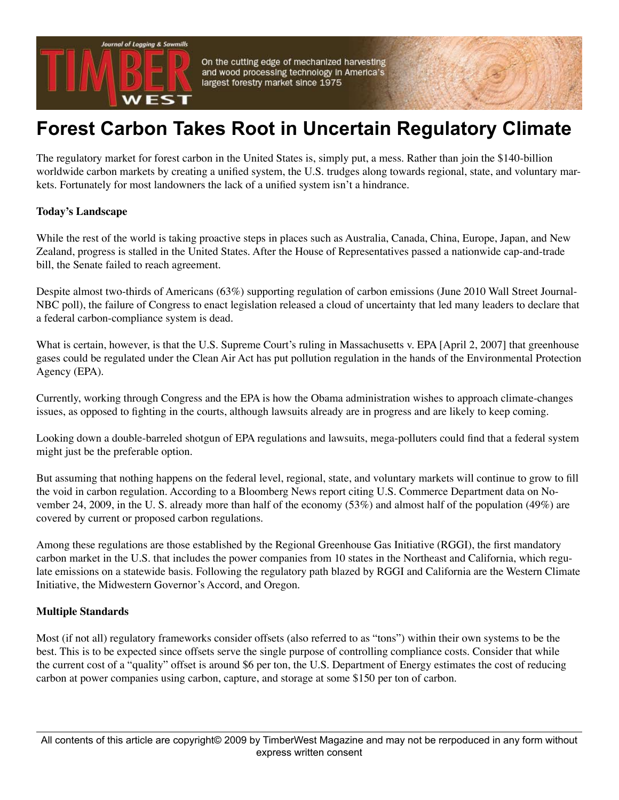

On the cutting edge of mechanized harvesting and wood processing technology in America's largest forestry market since 1975

## **Forest Carbon Takes Root in Uncertain Regulatory Climate**

The regulatory market for forest carbon in the United States is, simply put, a mess. Rather than join the \$140-billion worldwide carbon markets by creating a unified system, the U.S. trudges along towards regional, state, and voluntary markets. Fortunately for most landowners the lack of a unified system isn't a hindrance.

## **Today's Landscape**

While the rest of the world is taking proactive steps in places such as Australia, Canada, China, Europe, Japan, and New Zealand, progress is stalled in the United States. After the House of Representatives passed a nationwide cap-and-trade bill, the Senate failed to reach agreement.

Despite almost two-thirds of Americans (63%) supporting regulation of carbon emissions (June 2010 Wall Street Journal-NBC poll), the failure of Congress to enact legislation released a cloud of uncertainty that led many leaders to declare that a federal carbon-compliance system is dead.

What is certain, however, is that the U.S. Supreme Court's ruling in Massachusetts v. EPA [April 2, 2007] that greenhouse gases could be regulated under the Clean Air Act has put pollution regulation in the hands of the Environmental Protection Agency (EPA).

Currently, working through Congress and the EPA is how the Obama administration wishes to approach climate-changes issues, as opposed to fighting in the courts, although lawsuits already are in progress and are likely to keep coming.

Looking down a double-barreled shotgun of EPA regulations and lawsuits, mega-polluters could find that a federal system might just be the preferable option.

But assuming that nothing happens on the federal level, regional, state, and voluntary markets will continue to grow to fill the void in carbon regulation. According to a Bloomberg News report citing U.S. Commerce Department data on November 24, 2009, in the U. S. already more than half of the economy (53%) and almost half of the population (49%) are covered by current or proposed carbon regulations.

Among these regulations are those established by the Regional Greenhouse Gas Initiative (RGGI), the first mandatory carbon market in the U.S. that includes the power companies from 10 states in the Northeast and California, which regulate emissions on a statewide basis. Following the regulatory path blazed by RGGI and California are the Western Climate Initiative, the Midwestern Governor's Accord, and Oregon.

## **Multiple Standards**

Most (if not all) regulatory frameworks consider offsets (also referred to as "tons") within their own systems to be the best. This is to be expected since offsets serve the single purpose of controlling compliance costs. Consider that while the current cost of a "quality" offset is around \$6 per ton, the U.S. Department of Energy estimates the cost of reducing carbon at power companies using carbon, capture, and storage at some \$150 per ton of carbon.